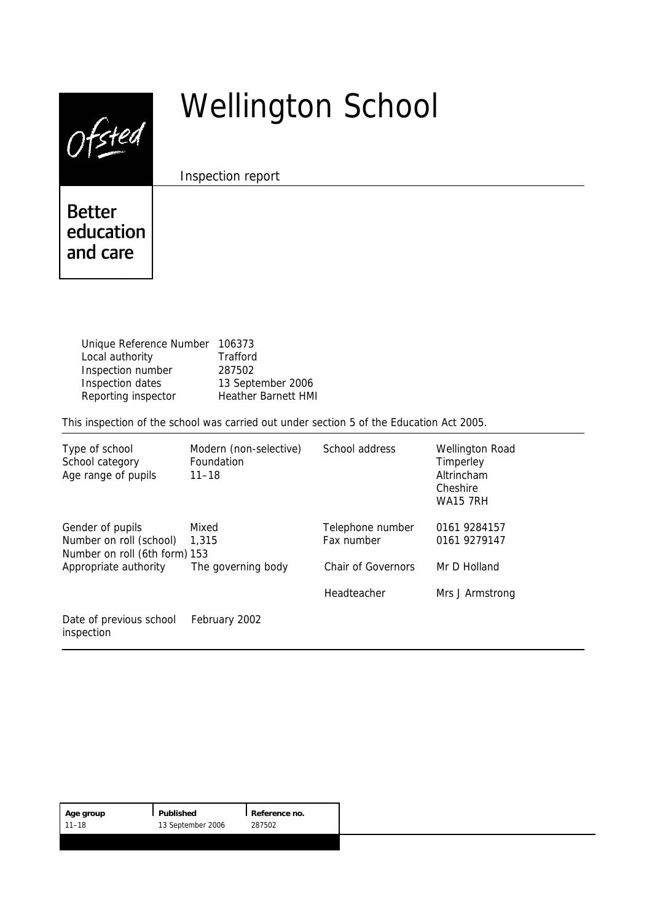| i, |
|----|
|----|

# Wellington School

Inspection report

# **Better** education and care

Unique Reference Number 106373 Local authority **Trafford** Inspection number 287502 Inspection dates 13 September 2006 Reporting inspector Heather Barnett HMI

This inspection of the school was carried out under section 5 of the Education Act 2005.

| Type of school<br>School category<br>Age range of pupils                     | Modern (non-selective)<br>Foundation<br>$11 - 18$ | School address                 | <b>Wellington Road</b><br>Timperley<br>Altrincham<br>Cheshire<br><b>WA15 7RH</b> |
|------------------------------------------------------------------------------|---------------------------------------------------|--------------------------------|----------------------------------------------------------------------------------|
| Gender of pupils<br>Number on roll (school)<br>Number on roll (6th form) 153 | Mixed<br>1,315                                    | Telephone number<br>Fax number | 0161 9284157<br>0161 9279147                                                     |
| Appropriate authority                                                        | The governing body                                | <b>Chair of Governors</b>      | Mr D Holland                                                                     |
|                                                                              |                                                   | Headteacher                    | Mrs J Armstrong                                                                  |
| Date of previous school<br>inspection                                        | February 2002                                     |                                |                                                                                  |

| Age group | l Published       | Reference no. |
|-----------|-------------------|---------------|
| 11–18     | 13 September 2006 | 287502        |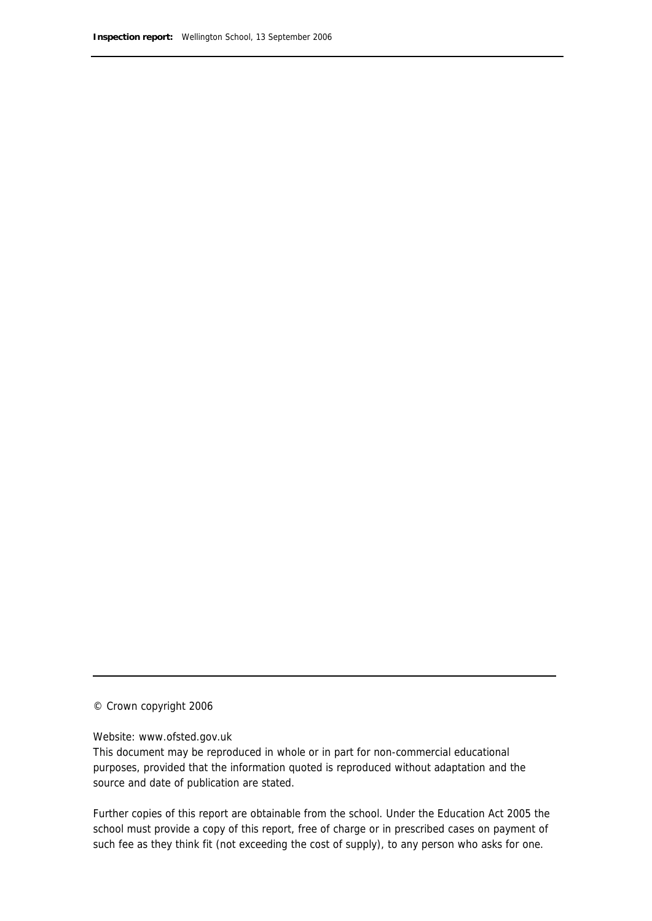© Crown copyright 2006

Website: www.ofsted.gov.uk

This document may be reproduced in whole or in part for non-commercial educational purposes, provided that the information quoted is reproduced without adaptation and the source and date of publication are stated.

Further copies of this report are obtainable from the school. Under the Education Act 2005 the school must provide a copy of this report, free of charge or in prescribed cases on payment of such fee as they think fit (not exceeding the cost of supply), to any person who asks for one.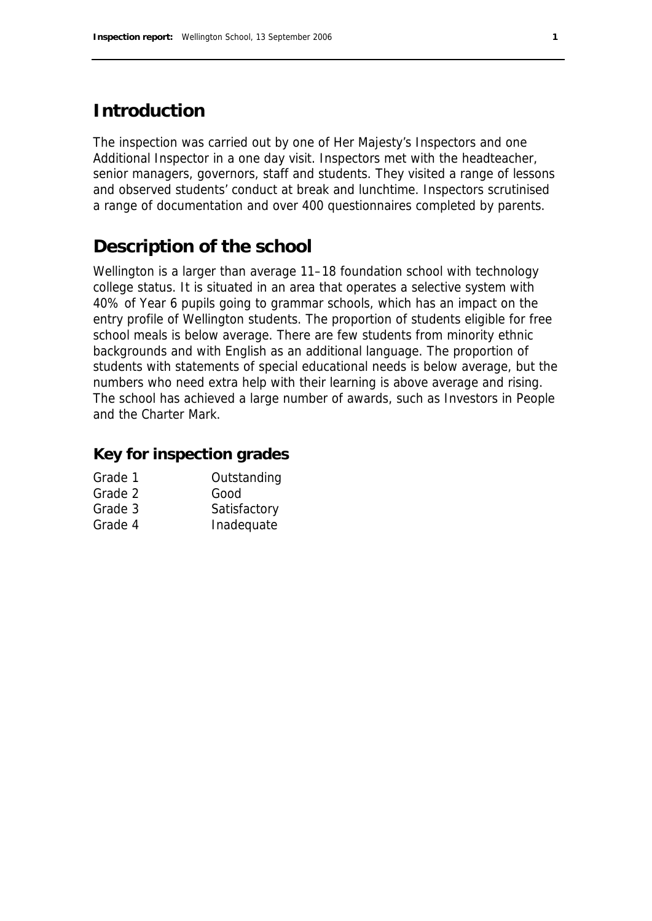# **Introduction**

The inspection was carried out by one of Her Majesty's Inspectors and one Additional Inspector in a one day visit. Inspectors met with the headteacher, senior managers, governors, staff and students. They visited a range of lessons and observed students' conduct at break and lunchtime. Inspectors scrutinised a range of documentation and over 400 questionnaires completed by parents.

# **Description of the school**

Wellington is a larger than average 11–18 foundation school with technology college status. It is situated in an area that operates a selective system with 40% of Year 6 pupils going to grammar schools, which has an impact on the entry profile of Wellington students. The proportion of students eligible for free school meals is below average. There are few students from minority ethnic backgrounds and with English as an additional language. The proportion of students with statements of special educational needs is below average, but the numbers who need extra help with their learning is above average and rising. The school has achieved a large number of awards, such as Investors in People and the Charter Mark.

### **Key for inspection grades**

| Outstanding  |
|--------------|
| Good         |
| Satisfactory |
| Inadequate   |
|              |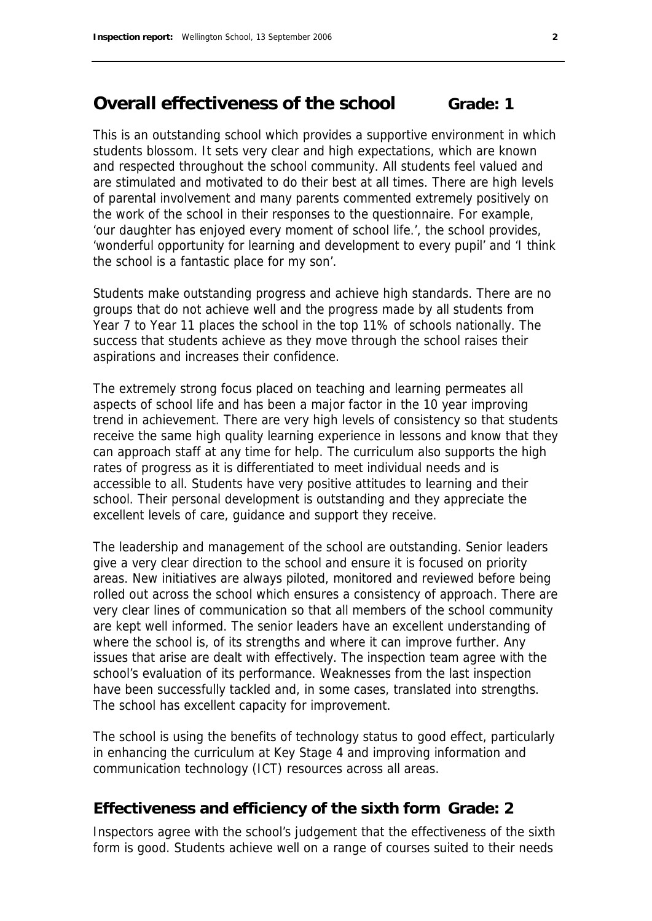## **Overall effectiveness of the school Grade: 1**

This is an outstanding school which provides a supportive environment in which students blossom. It sets very clear and high expectations, which are known and respected throughout the school community. All students feel valued and are stimulated and motivated to do their best at all times. There are high levels of parental involvement and many parents commented extremely positively on the work of the school in their responses to the questionnaire. For example, 'our daughter has enjoyed every moment of school life.', the school provides, 'wonderful opportunity for learning and development to every pupil' and 'I think the school is a fantastic place for my son'.

Students make outstanding progress and achieve high standards. There are no groups that do not achieve well and the progress made by all students from Year 7 to Year 11 places the school in the top 11% of schools nationally. The success that students achieve as they move through the school raises their aspirations and increases their confidence.

The extremely strong focus placed on teaching and learning permeates all aspects of school life and has been a major factor in the 10 year improving trend in achievement. There are very high levels of consistency so that students receive the same high quality learning experience in lessons and know that they can approach staff at any time for help. The curriculum also supports the high rates of progress as it is differentiated to meet individual needs and is accessible to all. Students have very positive attitudes to learning and their school. Their personal development is outstanding and they appreciate the excellent levels of care, guidance and support they receive.

The leadership and management of the school are outstanding. Senior leaders give a very clear direction to the school and ensure it is focused on priority areas. New initiatives are always piloted, monitored and reviewed before being rolled out across the school which ensures a consistency of approach. There are very clear lines of communication so that all members of the school community are kept well informed. The senior leaders have an excellent understanding of where the school is, of its strengths and where it can improve further. Any issues that arise are dealt with effectively. The inspection team agree with the school's evaluation of its performance. Weaknesses from the last inspection have been successfully tackled and, in some cases, translated into strengths. The school has excellent capacity for improvement.

The school is using the benefits of technology status to good effect, particularly in enhancing the curriculum at Key Stage 4 and improving information and communication technology (ICT) resources across all areas.

### **Effectiveness and efficiency of the sixth form Grade: 2**

Inspectors agree with the school's judgement that the effectiveness of the sixth form is good. Students achieve well on a range of courses suited to their needs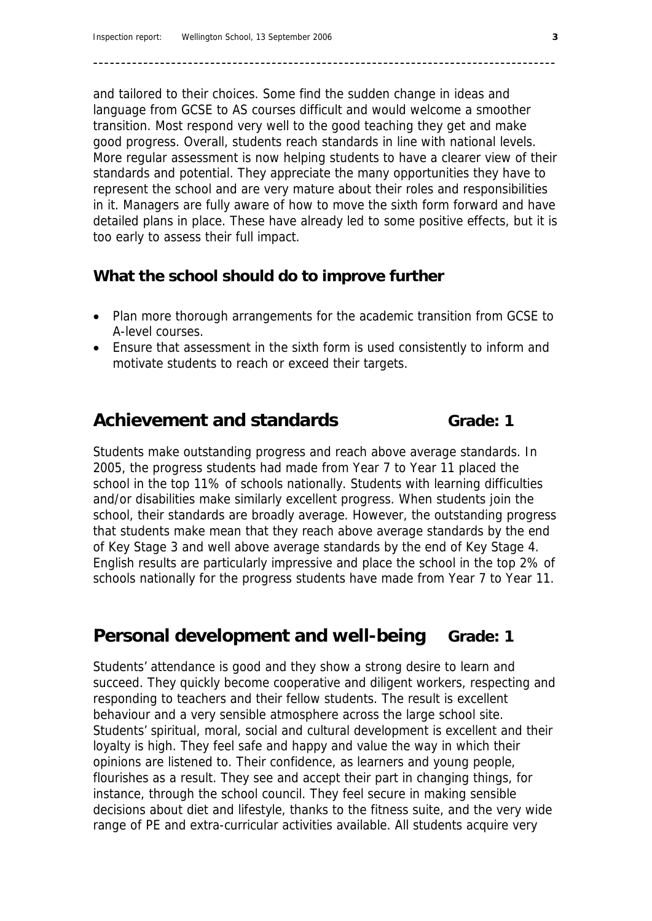and tailored to their choices. Some find the sudden change in ideas and language from GCSE to AS courses difficult and would welcome a smoother transition. Most respond very well to the good teaching they get and make good progress. Overall, students reach standards in line with national levels. More regular assessment is now helping students to have a clearer view of their standards and potential. They appreciate the many opportunities they have to represent the school and are very mature about their roles and responsibilities in it. Managers are fully aware of how to move the sixth form forward and have detailed plans in place. These have already led to some positive effects, but it is too early to assess their full impact.

**–––––––––––––––––––––––––––––––––––––––––––––––––––––––––––––––––––––––––––––––––––** 

### **What the school should do to improve further**

- Plan more thorough arrangements for the academic transition from GCSE to A-level courses.
- Ensure that assessment in the sixth form is used consistently to inform and motivate students to reach or exceed their targets.

# Achievement and standards Grade: 1

Students make outstanding progress and reach above average standards. In 2005, the progress students had made from Year 7 to Year 11 placed the school in the top 11% of schools nationally. Students with learning difficulties and/or disabilities make similarly excellent progress. When students join the school, their standards are broadly average. However, the outstanding progress that students make mean that they reach above average standards by the end of Key Stage 3 and well above average standards by the end of Key Stage 4. English results are particularly impressive and place the school in the top 2% of schools nationally for the progress students have made from Year 7 to Year 11.

# **Personal development and well-being Grade: 1**

Students' attendance is good and they show a strong desire to learn and succeed. They quickly become cooperative and diligent workers, respecting and responding to teachers and their fellow students. The result is excellent behaviour and a very sensible atmosphere across the large school site. Students' spiritual, moral, social and cultural development is excellent and their loyalty is high. They feel safe and happy and value the way in which their opinions are listened to. Their confidence, as learners and young people, flourishes as a result. They see and accept their part in changing things, for instance, through the school council. They feel secure in making sensible decisions about diet and lifestyle, thanks to the fitness suite, and the very wide range of PE and extra-curricular activities available. All students acquire very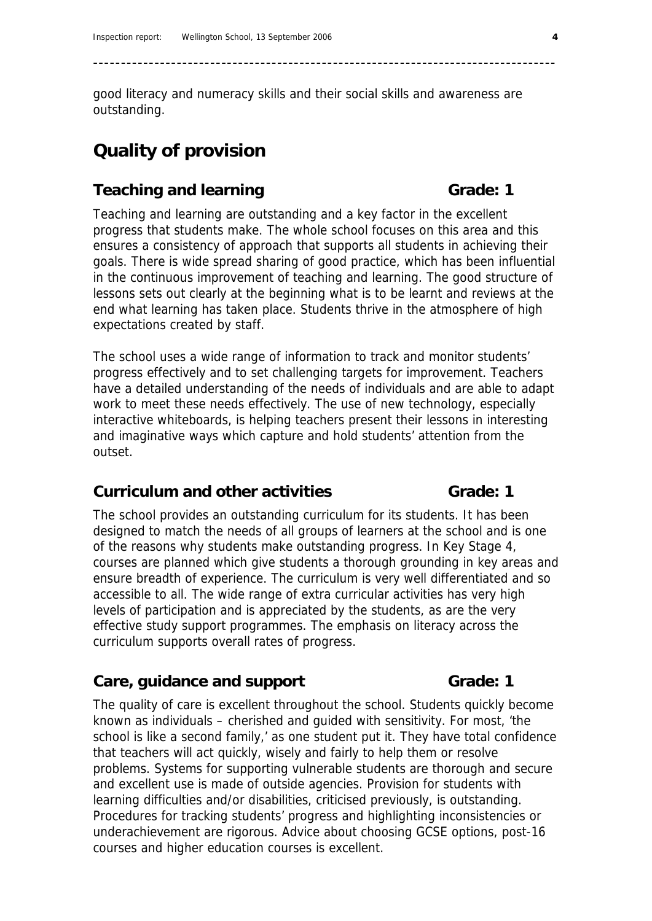good literacy and numeracy skills and their social skills and awareness are outstanding.

**–––––––––––––––––––––––––––––––––––––––––––––––––––––––––––––––––––––––––––––––––––** 

# **Quality of provision**

### **Teaching and learning Grade: 1 Grade: 1**

Teaching and learning are outstanding and a key factor in the excellent progress that students make. The whole school focuses on this area and this ensures a consistency of approach that supports all students in achieving their goals. There is wide spread sharing of good practice, which has been influential in the continuous improvement of teaching and learning. The good structure of lessons sets out clearly at the beginning what is to be learnt and reviews at the end what learning has taken place. Students thrive in the atmosphere of high expectations created by staff.

The school uses a wide range of information to track and monitor students' progress effectively and to set challenging targets for improvement. Teachers have a detailed understanding of the needs of individuals and are able to adapt work to meet these needs effectively. The use of new technology, especially interactive whiteboards, is helping teachers present their lessons in interesting and imaginative ways which capture and hold students' attention from the outset.

### **Curriculum and other activities Curriculum and other activities Crade: 1**

The school provides an outstanding curriculum for its students. It has been designed to match the needs of all groups of learners at the school and is one of the reasons why students make outstanding progress. In Key Stage 4, courses are planned which give students a thorough grounding in key areas and ensure breadth of experience. The curriculum is very well differentiated and so accessible to all. The wide range of extra curricular activities has very high levels of participation and is appreciated by the students, as are the very effective study support programmes. The emphasis on literacy across the curriculum supports overall rates of progress.

### Care, guidance and support **Grade:** 1

The quality of care is excellent throughout the school. Students quickly become known as individuals – cherished and guided with sensitivity. For most, 'the school is like a second family,' as one student put it. They have total confidence that teachers will act quickly, wisely and fairly to help them or resolve problems. Systems for supporting vulnerable students are thorough and secure and excellent use is made of outside agencies. Provision for students with learning difficulties and/or disabilities, criticised previously, is outstanding. Procedures for tracking students' progress and highlighting inconsistencies or underachievement are rigorous. Advice about choosing GCSE options, post-16 courses and higher education courses is excellent.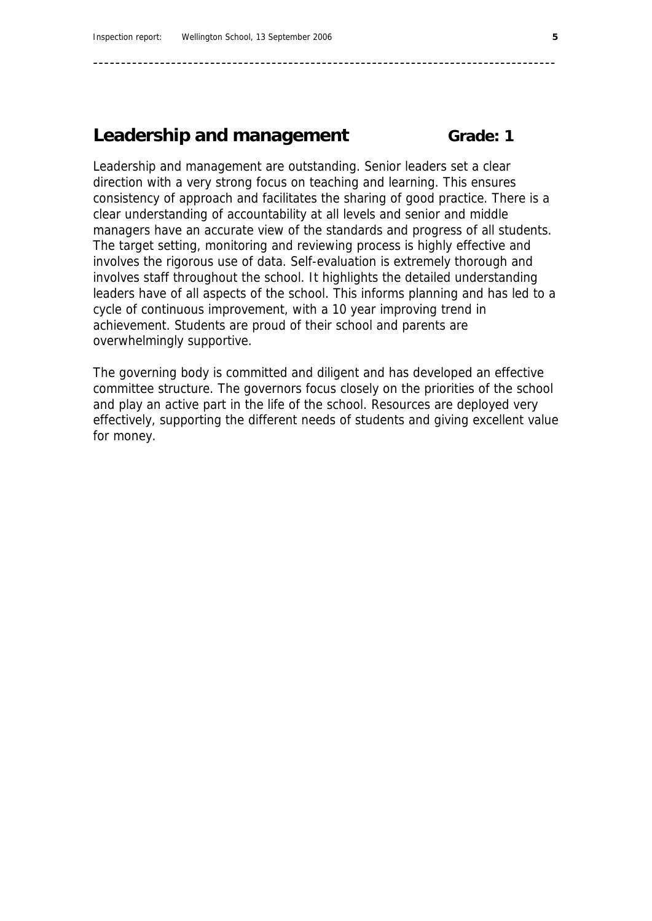### **Leadership and management Grade: 1**

Leadership and management are outstanding. Senior leaders set a clear direction with a very strong focus on teaching and learning. This ensures consistency of approach and facilitates the sharing of good practice. There is a clear understanding of accountability at all levels and senior and middle managers have an accurate view of the standards and progress of all students. The target setting, monitoring and reviewing process is highly effective and involves the rigorous use of data. Self-evaluation is extremely thorough and involves staff throughout the school. It highlights the detailed understanding leaders have of all aspects of the school. This informs planning and has led to a cycle of continuous improvement, with a 10 year improving trend in achievement. Students are proud of their school and parents are overwhelmingly supportive.

**–––––––––––––––––––––––––––––––––––––––––––––––––––––––––––––––––––––––––––––––––––** 

The governing body is committed and diligent and has developed an effective committee structure. The governors focus closely on the priorities of the school and play an active part in the life of the school. Resources are deployed very effectively, supporting the different needs of students and giving excellent value for money.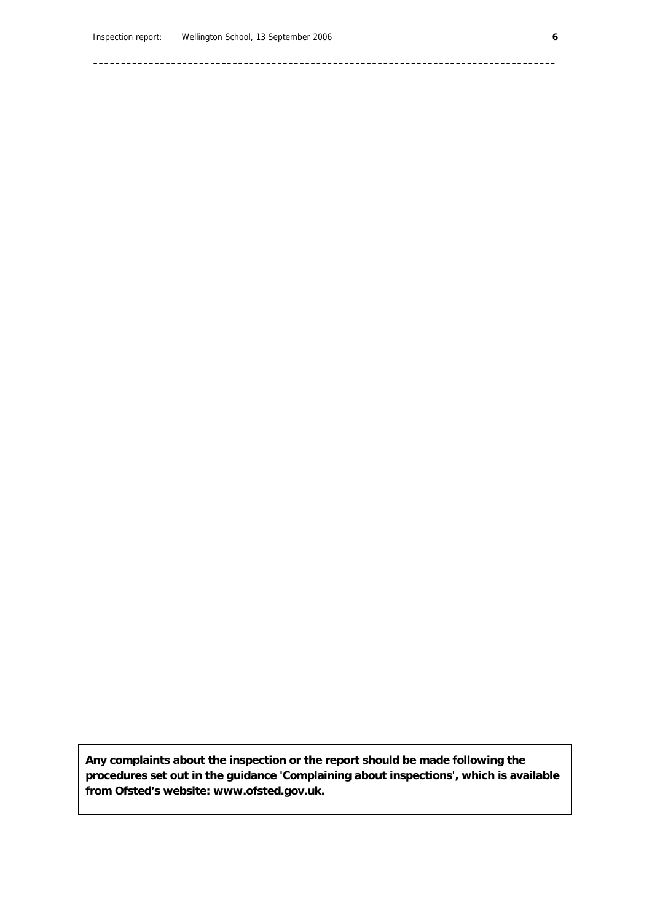**–––––––––––––––––––––––––––––––––––––––––––––––––––––––––––––––––––––––––––––––––––** 

**Any complaints about the inspection or the report should be made following the procedures set out in the guidance 'Complaining about inspections', which is available from Ofsted's website: www.ofsted.gov.uk.**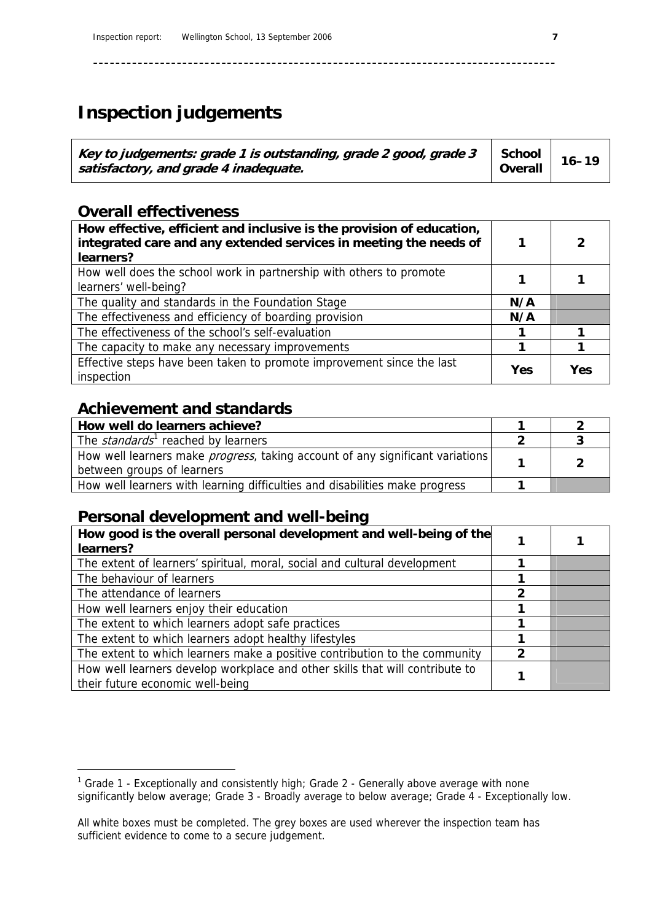# **Inspection judgements**

| Key to judgements: grade 1 is outstanding, grade 2 good, grade 3<br>satisfactory, and grade 4 inadequate. | School<br>Overall | $16 - 19$ |
|-----------------------------------------------------------------------------------------------------------|-------------------|-----------|
|-----------------------------------------------------------------------------------------------------------|-------------------|-----------|

**–––––––––––––––––––––––––––––––––––––––––––––––––––––––––––––––––––––––––––––––––––** 

## **Overall effectiveness**

| How effective, efficient and inclusive is the provision of education,<br>integrated care and any extended services in meeting the needs of<br>learners? |     | 2   |
|---------------------------------------------------------------------------------------------------------------------------------------------------------|-----|-----|
| How well does the school work in partnership with others to promote<br>learners' well-being?                                                            |     |     |
| The quality and standards in the Foundation Stage                                                                                                       | N/A |     |
| The effectiveness and efficiency of boarding provision                                                                                                  | N/A |     |
| The effectiveness of the school's self-evaluation                                                                                                       |     |     |
| The capacity to make any necessary improvements                                                                                                         |     |     |
| Effective steps have been taken to promote improvement since the last<br>inspection                                                                     | Yes | Yes |

### **Achievement and standards**

-

| How well do learners achieve?                                                                                       |  |
|---------------------------------------------------------------------------------------------------------------------|--|
| The <i>standards</i> <sup>1</sup> reached by learners                                                               |  |
| How well learners make <i>progress</i> , taking account of any significant variations<br>between groups of learners |  |
| How well learners with learning difficulties and disabilities make progress                                         |  |

### **Personal development and well-being**

| How good is the overall personal development and well-being of the<br>learners?                                  |   |  |
|------------------------------------------------------------------------------------------------------------------|---|--|
| The extent of learners' spiritual, moral, social and cultural development                                        |   |  |
| The behaviour of learners                                                                                        |   |  |
| The attendance of learners                                                                                       | 2 |  |
| How well learners enjoy their education                                                                          |   |  |
| The extent to which learners adopt safe practices                                                                |   |  |
| The extent to which learners adopt healthy lifestyles                                                            |   |  |
| The extent to which learners make a positive contribution to the community                                       | 2 |  |
| How well learners develop workplace and other skills that will contribute to<br>their future economic well-being |   |  |

<span id="page-8-0"></span><sup>&</sup>lt;sup>1</sup> Grade 1 - Exceptionally and consistently high; Grade 2 - Generally above average with none significantly below average; Grade 3 - Broadly average to below average; Grade 4 - Exceptionally low.

All white boxes must be completed. The grey boxes are used wherever the inspection team has sufficient evidence to come to a secure judgement.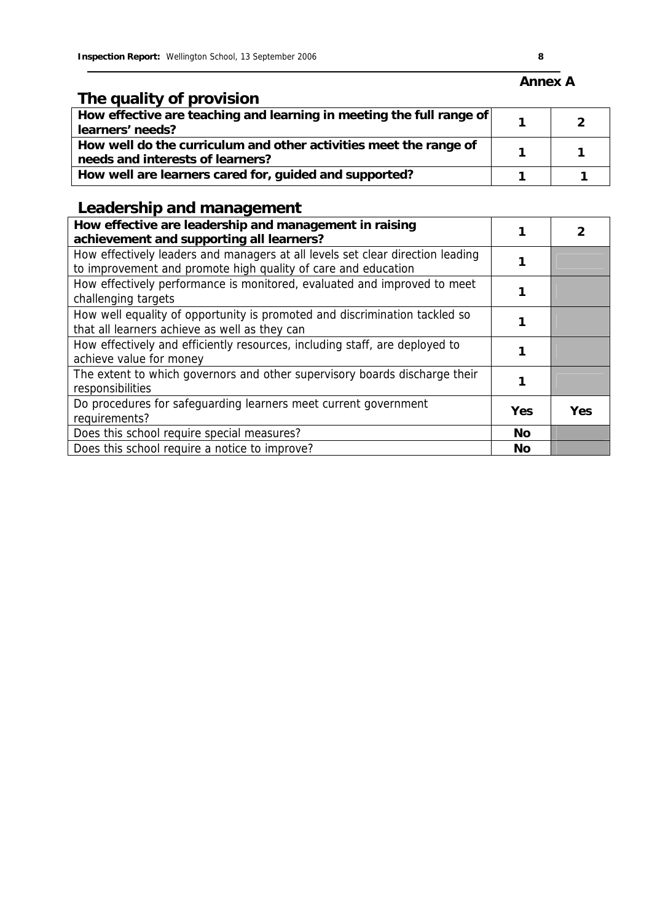# **The quality of provision**

| How effective are teaching and learning in meeting the full range of<br>learners' needs?              |  |
|-------------------------------------------------------------------------------------------------------|--|
| How well do the curriculum and other activities meet the range of<br>needs and interests of learners? |  |
| How well are learners cared for, guided and supported?                                                |  |

# **Leadership and management**

| How effective are leadership and management in raising<br>achievement and supporting all learners?                                              |           |            |
|-------------------------------------------------------------------------------------------------------------------------------------------------|-----------|------------|
| How effectively leaders and managers at all levels set clear direction leading<br>to improvement and promote high quality of care and education |           |            |
| How effectively performance is monitored, evaluated and improved to meet<br>challenging targets                                                 |           |            |
| How well equality of opportunity is promoted and discrimination tackled so<br>that all learners achieve as well as they can                     |           |            |
| How effectively and efficiently resources, including staff, are deployed to<br>achieve value for money                                          |           |            |
| The extent to which governors and other supervisory boards discharge their<br>responsibilities                                                  |           |            |
| Do procedures for safeguarding learners meet current government<br>requirements?                                                                | Yes       | <b>Yes</b> |
| Does this school require special measures?                                                                                                      | <b>No</b> |            |
| Does this school require a notice to improve?                                                                                                   | <b>No</b> |            |

### **Annex A**